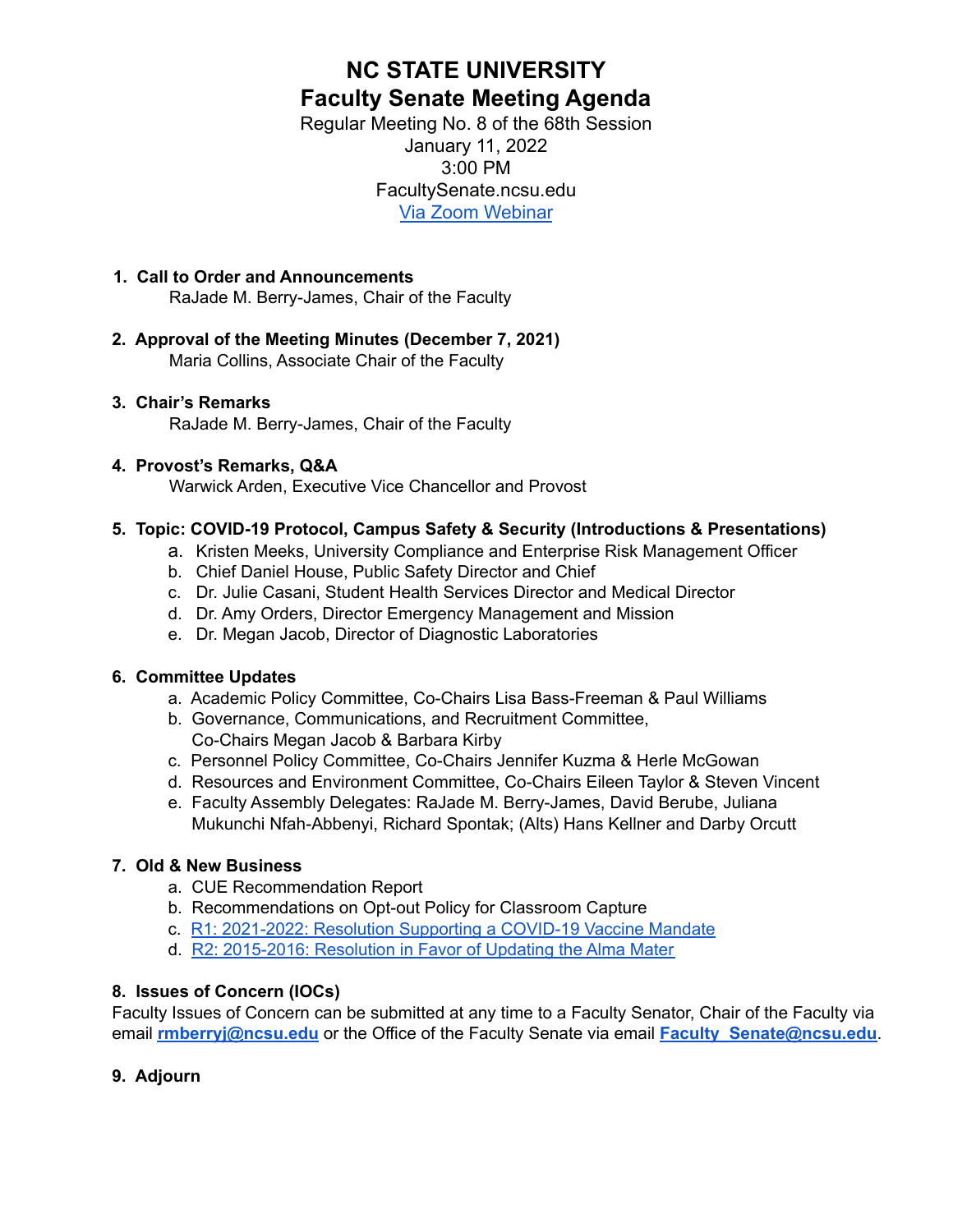# **NC STATE UNIVERSITY Faculty Senate Meeting Agenda**

Regular Meeting No. 8 of the 68th Session January 11, 2022 3:00 PM FacultySenate.ncsu.edu [Via Zoom Webinar](https://ncsu.zoom.us/webinar/register/WN_he7KldpXRbaI1eZE9yaP3A)

### **1. Call to Order and Announcements** RaJade M. Berry-James, Chair of the Faculty

### **2. Approval of the Meeting Minutes (December 7, 2021)** Maria Collins, Associate Chair of the Faculty

### **3. Chair's Remarks** RaJade M. Berry-James, Chair of the Faculty

## **4. Provost's Remarks, Q&A**

Warwick Arden, Executive Vice Chancellor and Provost

## **5. Topic: COVID-19 Protocol, Campus Safety & Security (Introductions & Presentations)**

- a. Kristen Meeks, University Compliance and Enterprise Risk Management Officer
- b. Chief Daniel House, Public Safety Director and Chief
- c. Dr. Julie Casani, Student Health Services Director and Medical Director
- d. Dr. Amy Orders, Director Emergency Management and Mission
- e. Dr. Megan Jacob, Director of Diagnostic Laboratories

# **6. Committee Updates**

- a. Academic Policy Committee, Co-Chairs Lisa Bass-Freeman & Paul Williams
- b. Governance, Communications, and Recruitment Committee, Co-Chairs Megan Jacob & Barbara Kirby
- c. Personnel Policy Committee, Co-Chairs Jennifer Kuzma & Herle McGowan
- d. Resources and Environment Committee, Co-Chairs Eileen Taylor & Steven Vincent
- e. Faculty Assembly Delegates: RaJade M. Berry-James, David Berube, Juliana Mukunchi Nfah-Abbenyi, Richard Spontak; (Alts) Hans Kellner and Darby Orcutt

# **7. Old & New Business**

- a. CUE Recommendation Report
- b. Recommendations on Opt-out Policy for Classroom Capture
- c. R1: [2021-2022:](https://facultysenate.ncsu.edu/wp-content/uploads/sites/65/2021/09/NCSU-28th-Faculty-Senate-R1-2021_2022-Resolution-of-COVID-19-Vaccine-Mandate.pdf) Resolution Supporting a COVID-19 Vaccine Mandate
- d. R2: [2015-2016:](https://facultysenate.ncsu.edu/wp-content/uploads/sites/65/2016/05/R2-AlmaMater.pdf) Resolution in Favor of Updating the Alma Mater

# **8. Issues of Concern (IOCs)**

Faculty Issues of Concern can be submitted at any time to a Faculty Senator, Chair of the Faculty via email **[rmberryj@ncsu.edu](mailto:rmberryj@ncsu.edu)** or the Office of the Faculty Senate via email **Faculty Senate@ncsu.edu**.

# **9. Adjourn**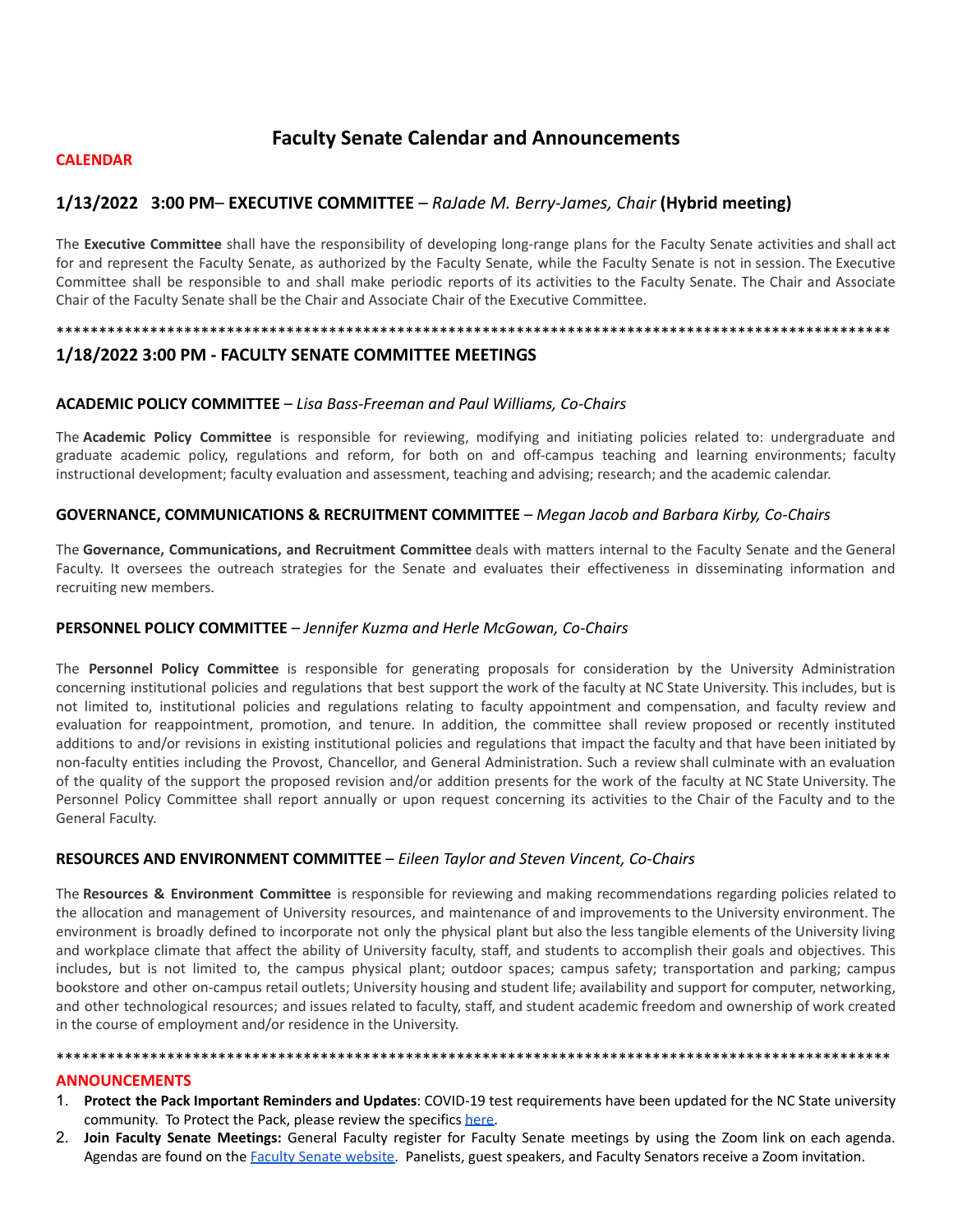## **Faculty Senate Calendar and Announcements**

#### **CALENDAR**

### **1/13/2022 3:00 PM**– **EXECUTIVE COMMITTEE** *– RaJade M. Berry-James, Chair* **(Hybrid meeting)**

The **Executive Committee** shall have the responsibility of developing long-range plans for the Faculty Senate activities and shall act for and represent the Faculty Senate, as authorized by the Faculty Senate, while the Faculty Senate is not in session. The Executive Committee shall be responsible to and shall make periodic reports of its activities to the Faculty Senate. The Chair and Associate Chair of the Faculty Senate shall be the Chair and Associate Chair of the Executive Committee.

\*\*\*\*\*\*\*\*\*\*\*\*\*\*\*\*\*\*\*\*\*\*\*\*\*\*\*\*\*\*\*\*\*\*\*\*\*\*\*\*\*\*\*\*\*\*\*\*\*\*\*\*\*\*\*\*\*\*\*\*\*\*\*\*\*\*\*\*\*\*\*\*\*\*\*\*\*\*\*\*\*\*\*\*\*\*\*\*\*\*\*\*\*\*\*\*\*\*

### **1/18/2022 3:00 PM - FACULTY SENATE COMMITTEE MEETINGS**

#### **ACADEMIC POLICY COMMITTEE** – *Lisa Bass-Freeman and Paul Williams, Co-Chairs*

The **Academic Policy Committee** is responsible for reviewing, modifying and initiating policies related to: undergraduate and graduate academic policy, regulations and reform, for both on and off-campus teaching and learning environments; faculty instructional development; faculty evaluation and assessment, teaching and advising; research; and the academic calendar.

#### **GOVERNANCE, COMMUNICATIONS & RECRUITMENT COMMITTEE** – *Megan Jacob and Barbara Kirby, Co-Chairs*

The **Governance, Communications, and Recruitment Committee** deals with matters internal to the Faculty Senate and the General Faculty. It oversees the outreach strategies for the Senate and evaluates their effectiveness in disseminating information and recruiting new members.

#### **PERSONNEL POLICY COMMITTEE** – *Jennifer Kuzma and Herle McGowan, Co-Chairs*

The **Personnel Policy Committee** is responsible for generating proposals for consideration by the University Administration concerning institutional policies and regulations that best support the work of the faculty at NC State University. This includes, but is not limited to, institutional policies and regulations relating to faculty appointment and compensation, and faculty review and evaluation for reappointment, promotion, and tenure. In addition, the committee shall review proposed or recently instituted additions to and/or revisions in existing institutional policies and regulations that impact the faculty and that have been initiated by non-faculty entities including the Provost, Chancellor, and General Administration. Such a review shall culminate with an evaluation of the quality of the support the proposed revision and/or addition presents for the work of the faculty at NC State University. The Personnel Policy Committee shall report annually or upon request concerning its activities to the Chair of the Faculty and to the General Faculty.

#### **RESOURCES AND ENVIRONMENT COMMITTEE** – *Eileen Taylor and Steven Vincent, Co-Chairs*

The **Resources & Environment Committee** is responsible for reviewing and making recommendations regarding policies related to the allocation and management of University resources, and maintenance of and improvements to the University environment. The environment is broadly defined to incorporate not only the physical plant but also the less tangible elements of the University living and workplace climate that affect the ability of University faculty, staff, and students to accomplish their goals and objectives. This includes, but is not limited to, the campus physical plant; outdoor spaces; campus safety; transportation and parking; campus bookstore and other on-campus retail outlets; University housing and student life; availability and support for computer, networking, and other technological resources; and issues related to faculty, staff, and student academic freedom and ownership of work created in the course of employment and/or residence in the University.

#### **ANNOUNCEMENTS**

1. **Protect the Pack Important Reminders and Updates**: COVID-19 test requirements have been updated for the NC State university community. To Protect the Pack, please review the specifics [here.](https://www.ncsu.edu/coronavirus/covid-19-testing/?utm_source=All+Employees+-+December+2021&utm_campaign=60add060bb-EMAIL_CAMPAIGN_2022_01_04_05_41&utm_medium=email&utm_term=0_499c50cea0-60add060bb-105599865)

\*\*\*\*\*\*\*\*\*\*\*\*\*\*\*\*\*\*\*\*\*\*\*\*\*\*\*\*\*\*\*\*\*\*\*\*\*\*\*\*\*\*\*\*\*\*\*\*\*\*\*\*\*\*\*\*\*\*\*\*\*\*\*\*\*\*\*\*\*\*\*\*\*\*\*\*\*\*\*\*\*\*\*\*\*\*\*\*\*\*\*\*\*\*\*\*\*\*

2. **Join Faculty Senate Meetings:** General Faculty register for Faculty Senate meetings by using the Zoom link on each agenda. Agendas are found on the Faculty Senate [website.](https://facultysenate.ncsu.edu/meetings-minutes/) Panelists, guest speakers, and Faculty Senators receive a Zoom invitation.